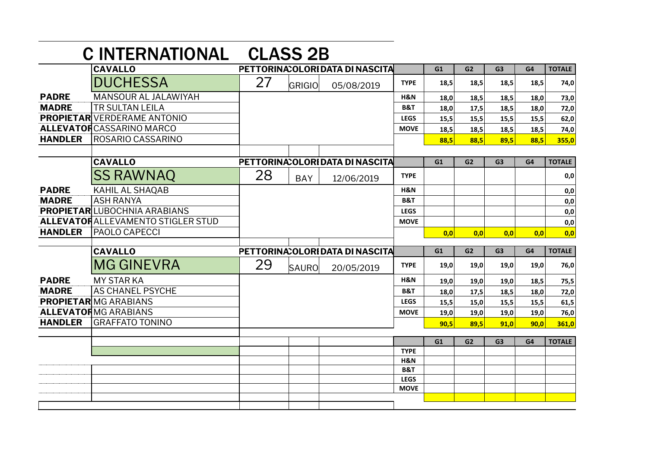|                              | <b>CINTERNATIONAL</b>                    |                                  | <b>CLASS 2B</b> |                                  |                |      |                |                |      |               |
|------------------------------|------------------------------------------|----------------------------------|-----------------|----------------------------------|----------------|------|----------------|----------------|------|---------------|
|                              | <b>CAVALLO</b>                           |                                  |                 | PETTORINA: OLORI DATA DI NASCITA |                | G1   | G <sub>2</sub> | G <sub>3</sub> | G4   | <b>TOTALE</b> |
|                              | <b>DUCHESSA</b>                          | 27                               | GRIGIO          | 05/08/2019                       | <b>TYPE</b>    | 18,5 | 18,5           | 18,5           | 18,5 | 74,0          |
| <b>PADRE</b>                 | MANSOUR AL JALAWIYAH                     |                                  |                 |                                  | H&N            | 18,0 | 18,5           | 18,5           | 18.0 | 73,0          |
| <b>MADRE</b>                 | <b>TR SULTAN LEILA</b>                   |                                  |                 |                                  | <b>B&amp;T</b> | 18,0 | 17,5           | 18,5           | 18,0 | 72,0          |
|                              | <b>PROPIETAR</b> VERDERAME ANTONIO       |                                  |                 |                                  | <b>LEGS</b>    | 15,5 | 15,5           | 15,5           | 15,5 | 62,0          |
|                              | <b>ALLEVATOR</b> CASSARINO MARCO         |                                  |                 |                                  | <b>MOVE</b>    | 18,5 | 18,5           | 18,5           | 18,5 | 74,0          |
| <b>HANDLER</b>               | ROSARIO CASSARINO                        |                                  |                 |                                  |                | 88,5 | 88,5           | 89,5           | 88,5 | 355,0         |
|                              |                                          |                                  |                 |                                  |                |      |                |                |      |               |
| <b>CAVALLO</b>               |                                          | PETTORINA: OLORI DATA DI NASCITA |                 |                                  |                | G1   | G2             | G <sub>3</sub> | G4   | <b>TOTALE</b> |
|                              | <b>SS RAWNAQ</b>                         | 28                               | <b>BAY</b>      | 12/06/2019                       | <b>TYPE</b>    |      |                |                |      | 0,0           |
| <b>PADRE</b>                 | <b>KAHIL AL SHAQAB</b>                   |                                  |                 |                                  | H&N            |      |                |                |      | 0,0           |
| <b>MADRE</b>                 | <b>ASH RANYA</b>                         |                                  |                 |                                  | <b>B&amp;T</b> |      |                |                |      | 0,0           |
|                              | <b>PROPIETAR LUBOCHNIA ARABIANS</b>      |                                  |                 |                                  | <b>LEGS</b>    |      |                |                |      | 0,0           |
|                              | <b>ALLEVATORALLEVAMENTO STIGLER STUD</b> |                                  |                 |                                  | <b>MOVE</b>    |      |                |                |      | 0,0           |
| <b>HANDLER</b>               | <b>PAOLO CAPECCI</b>                     |                                  |                 |                                  |                | 0,0  | 0.0            | 0,0            | 0.0  | 0,0           |
|                              | <b>CAVALLO</b>                           |                                  |                 | PETTORINA: OLORI DATA DI NASCITA |                | G1   | G2             | G <sub>3</sub> | G4   | <b>TOTALE</b> |
|                              | <b>MG GINEVRA</b>                        | 29                               | <b>SAURO</b>    | 20/05/2019                       | <b>TYPE</b>    | 19,0 | 19,0           | 19,0           | 19,0 | 76,0          |
| <b>PADRE</b>                 | <b>MY STAR KA</b>                        |                                  |                 |                                  | H&N            | 19,0 | 19,0           | 19,0           | 18,5 | 75,5          |
| <b>MADRE</b>                 | <b>AS CHANEL PSYCHE</b>                  |                                  |                 |                                  | <b>B&amp;T</b> | 18,0 | 17,5           | 18,5           | 18,0 | 72,0          |
| <b>PROPIETARIMG ARABIANS</b> |                                          |                                  |                 |                                  | <b>LEGS</b>    | 15,5 | 15,0           | 15,5           | 15,5 | 61,5          |
|                              | <b>ALLEVATORMG ARABIANS</b>              |                                  |                 |                                  | <b>MOVE</b>    | 19,0 | 19,0           | 19,0           | 19,0 | 76,0          |
| <b>HANDLER</b>               | <b>GRAFFATO TONINO</b>                   |                                  |                 |                                  |                | 90.5 | 89,5           | 91,0           | 90,0 | 361,0         |
|                              |                                          |                                  |                 |                                  |                |      |                |                |      |               |
|                              |                                          |                                  |                 |                                  | <b>TYPE</b>    | G1   | G <sub>2</sub> | G <sub>3</sub> | G4   | <b>TOTALE</b> |
|                              |                                          |                                  |                 |                                  | H&N            |      |                |                |      |               |
|                              |                                          |                                  |                 |                                  | B&T            |      |                |                |      |               |
|                              |                                          |                                  |                 |                                  | <b>LEGS</b>    |      |                |                |      |               |
|                              |                                          |                                  |                 |                                  | <b>MOVE</b>    |      |                |                |      |               |
|                              |                                          |                                  |                 |                                  |                |      |                |                |      |               |
|                              |                                          |                                  |                 |                                  |                |      |                |                |      |               |